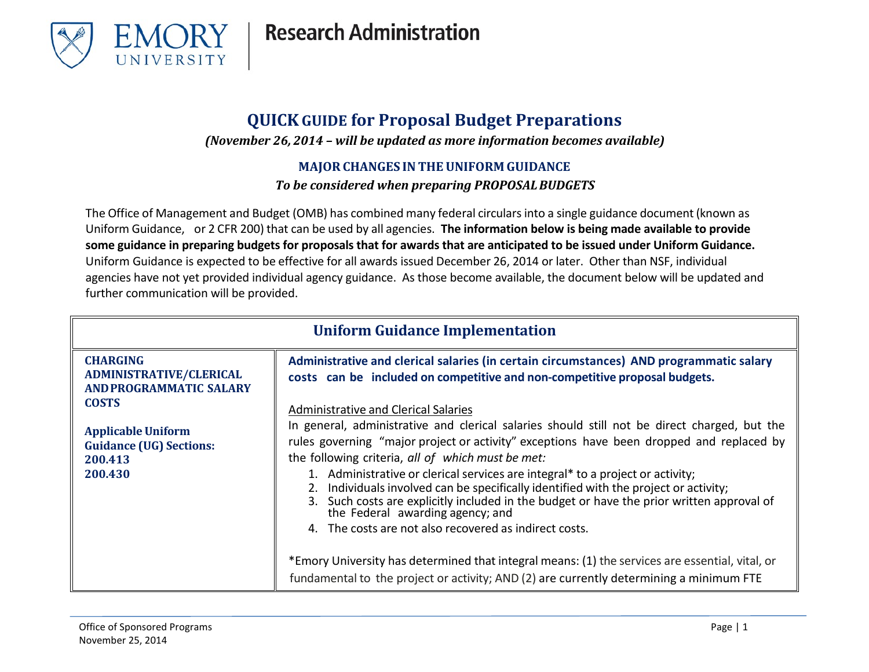

#### **QUICKGUIDE for Proposal Budget Preparations**

*(November 26, 2014 – will be updated as more information becomes available)*

#### **MAJORCHANGES IN THE UNIFORM GUIDANCE**

*To be considered when preparing PROPOSALBUDGETS*

The Office of Management and Budget (OMB) has combined many federal circularsinto a single guidance document (known as Uniform Guidance, or 2 CFR 200) that can be used by all agencies. **The information below is being made available to provide some guidance in preparing budgets for proposals that for awards that are anticipated to be issued under Uniform Guidance.**  Uniform Guidance is expected to be effective for all awards issued December 26, 2014 or later. Other than NSF, individual agencies have not yet provided individual agency guidance. As those become available, the document below will be updated and further communication will be provided.

| <b>Uniform Guidance Implementation</b>                                              |                                                                                                                                                                                                                                                                                                                                                                                                                                                                                                                                                                                                                    |
|-------------------------------------------------------------------------------------|--------------------------------------------------------------------------------------------------------------------------------------------------------------------------------------------------------------------------------------------------------------------------------------------------------------------------------------------------------------------------------------------------------------------------------------------------------------------------------------------------------------------------------------------------------------------------------------------------------------------|
| <b>CHARGING</b><br><b>ADMINISTRATIVE/CLERICAL</b><br><b>AND PROGRAMMATIC SALARY</b> | Administrative and clerical salaries (in certain circumstances) AND programmatic salary<br>costs can be included on competitive and non-competitive proposal budgets.                                                                                                                                                                                                                                                                                                                                                                                                                                              |
| <b>COSTS</b>                                                                        | Administrative and Clerical Salaries                                                                                                                                                                                                                                                                                                                                                                                                                                                                                                                                                                               |
| <b>Applicable Uniform</b><br><b>Guidance (UG) Sections:</b><br>200.413<br>200.430   | In general, administrative and clerical salaries should still not be direct charged, but the<br>rules governing "major project or activity" exceptions have been dropped and replaced by<br>the following criteria, all of which must be met:<br>1. Administrative or clerical services are integral* to a project or activity;<br>2. Individuals involved can be specifically identified with the project or activity;<br>3. Such costs are explicitly included in the budget or have the prior written approval of<br>the Federal awarding agency; and<br>4. The costs are not also recovered as indirect costs. |
|                                                                                     | *Emory University has determined that integral means: (1) the services are essential, vital, or<br>fundamental to the project or activity; AND (2) are currently determining a minimum FTE                                                                                                                                                                                                                                                                                                                                                                                                                         |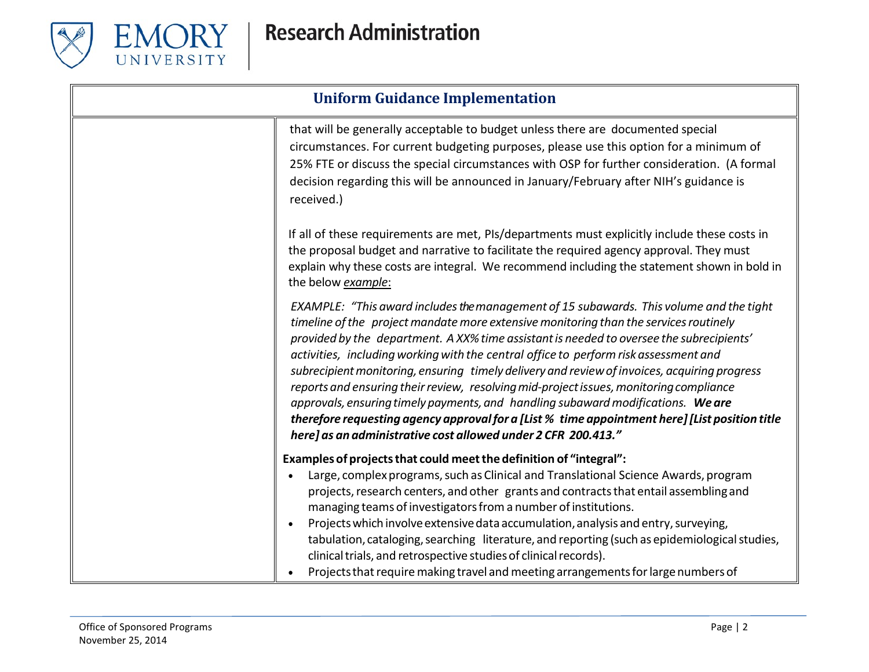

| <b>Uniform Guidance Implementation</b> |                                                                                                                                                                                                                                                                                                                                                                                                                                                                                                                                                                                                                                                                                                                                                                                                                       |
|----------------------------------------|-----------------------------------------------------------------------------------------------------------------------------------------------------------------------------------------------------------------------------------------------------------------------------------------------------------------------------------------------------------------------------------------------------------------------------------------------------------------------------------------------------------------------------------------------------------------------------------------------------------------------------------------------------------------------------------------------------------------------------------------------------------------------------------------------------------------------|
|                                        | that will be generally acceptable to budget unless there are documented special<br>circumstances. For current budgeting purposes, please use this option for a minimum of<br>25% FTE or discuss the special circumstances with OSP for further consideration. (A formal<br>decision regarding this will be announced in January/February after NIH's guidance is<br>received.)                                                                                                                                                                                                                                                                                                                                                                                                                                        |
|                                        | If all of these requirements are met, PIs/departments must explicitly include these costs in<br>the proposal budget and narrative to facilitate the required agency approval. They must<br>explain why these costs are integral. We recommend including the statement shown in bold in<br>the below example:                                                                                                                                                                                                                                                                                                                                                                                                                                                                                                          |
|                                        | EXAMPLE: "This award includes the management of 15 subawards. This volume and the tight<br>timeline of the project mandate more extensive monitoring than the services routinely<br>provided by the department. A XX% time assistant is needed to oversee the subrecipients'<br>activities, including working with the central office to perform risk assessment and<br>subrecipient monitoring, ensuring timely delivery and review of invoices, acquiring progress<br>reports and ensuring their review, resolving mid-project issues, monitoring compliance<br>approvals, ensuring timely payments, and handling subaward modifications. We are<br>therefore requesting agency approval for a [List % time appointment here] [List position title<br>here] as an administrative cost allowed under 2 CFR 200.413." |
|                                        | Examples of projects that could meet the definition of "integral":<br>Large, complex programs, such as Clinical and Translational Science Awards, program<br>projects, research centers, and other grants and contracts that entail assembling and<br>managing teams of investigators from a number of institutions.<br>Projects which involve extensive data accumulation, analysis and entry, surveying,<br>tabulation, cataloging, searching literature, and reporting (such as epidemiological studies,<br>clinical trials, and retrospective studies of clinical records).<br>Projects that require making travel and meeting arrangements for large numbers of                                                                                                                                                  |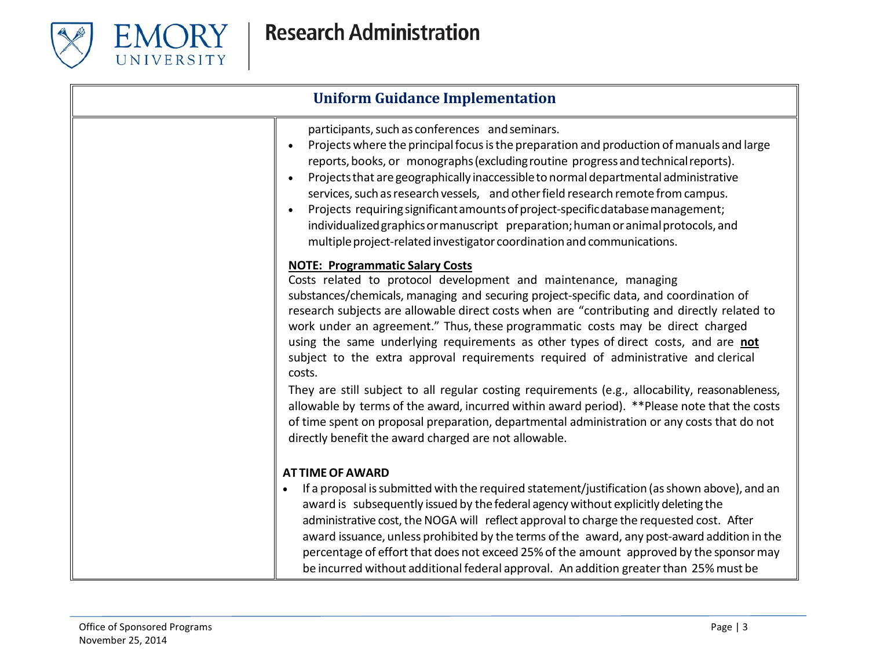

| <b>Uniform Guidance Implementation</b> |                                                                                                                                                                                                                                                                                                                                                                                                                                                                                                                                                                                                                                                                                                                                                                                                                                                                                                                                       |
|----------------------------------------|---------------------------------------------------------------------------------------------------------------------------------------------------------------------------------------------------------------------------------------------------------------------------------------------------------------------------------------------------------------------------------------------------------------------------------------------------------------------------------------------------------------------------------------------------------------------------------------------------------------------------------------------------------------------------------------------------------------------------------------------------------------------------------------------------------------------------------------------------------------------------------------------------------------------------------------|
|                                        | participants, such as conferences and seminars.<br>Projects where the principal focus is the preparation and production of manuals and large<br>$\bullet$<br>reports, books, or monographs (excluding routine progress and technical reports).<br>Projects that are geographically inaccessible to normal departmental administrative<br>services, such as research vessels, and other field research remote from campus.<br>Projects requiring significant amounts of project-specific database management;<br>individualized graphics or manuscript preparation; human or animal protocols, and<br>multiple project-related investigator coordination and communications.                                                                                                                                                                                                                                                           |
|                                        | <b>NOTE: Programmatic Salary Costs</b><br>Costs related to protocol development and maintenance, managing<br>substances/chemicals, managing and securing project-specific data, and coordination of<br>research subjects are allowable direct costs when are "contributing and directly related to<br>work under an agreement." Thus, these programmatic costs may be direct charged<br>using the same underlying requirements as other types of direct costs, and are not<br>subject to the extra approval requirements required of administrative and clerical<br>costs.<br>They are still subject to all regular costing requirements (e.g., allocability, reasonableness,<br>allowable by terms of the award, incurred within award period). **Please note that the costs<br>of time spent on proposal preparation, departmental administration or any costs that do not<br>directly benefit the award charged are not allowable. |
|                                        | <b>AT TIME OF AWARD</b><br>If a proposal is submitted with the required statement/justification (as shown above), and an<br>award is subsequently issued by the federal agency without explicitly deleting the<br>administrative cost, the NOGA will reflect approval to charge the requested cost. After<br>award issuance, unless prohibited by the terms of the award, any post-award addition in the<br>percentage of effort that does not exceed 25% of the amount approved by the sponsor may<br>be incurred without additional federal approval. An addition greater than 25% must be                                                                                                                                                                                                                                                                                                                                          |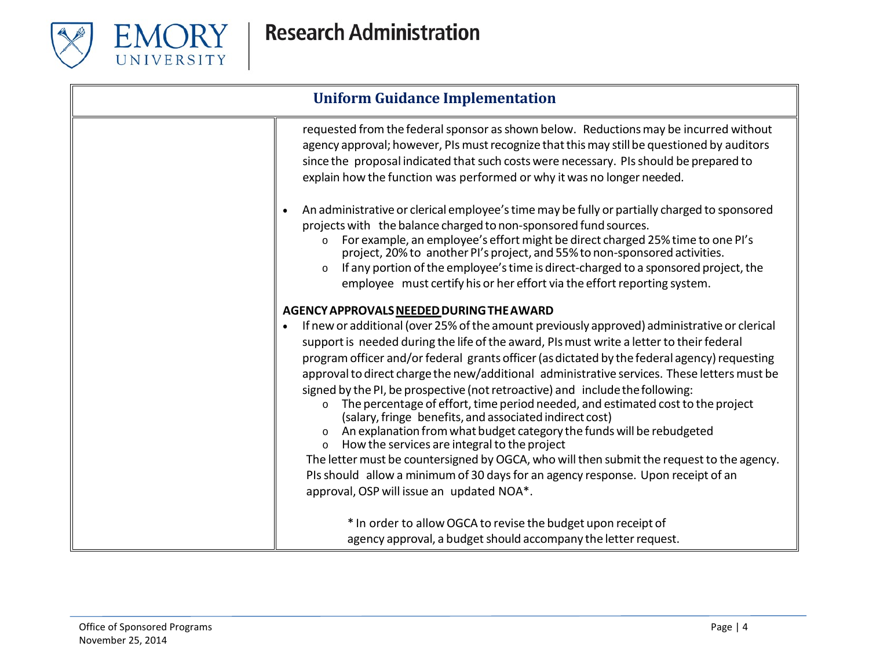

| <b>Uniform Guidance Implementation</b> |                                                                                                                                                                                                                                                                                                                                                                                                                                                                                                                                                                                                                                                                                                                                                                                                                                                                                                                                                                                                                                                 |
|----------------------------------------|-------------------------------------------------------------------------------------------------------------------------------------------------------------------------------------------------------------------------------------------------------------------------------------------------------------------------------------------------------------------------------------------------------------------------------------------------------------------------------------------------------------------------------------------------------------------------------------------------------------------------------------------------------------------------------------------------------------------------------------------------------------------------------------------------------------------------------------------------------------------------------------------------------------------------------------------------------------------------------------------------------------------------------------------------|
|                                        | requested from the federal sponsor as shown below. Reductions may be incurred without<br>agency approval; however, PIs must recognize that this may still be questioned by auditors<br>since the proposal indicated that such costs were necessary. PIs should be prepared to<br>explain how the function was performed or why it was no longer needed.                                                                                                                                                                                                                                                                                                                                                                                                                                                                                                                                                                                                                                                                                         |
|                                        | An administrative or clerical employee's time may be fully or partially charged to sponsored<br>projects with the balance charged to non-sponsored fund sources.<br>For example, an employee's effort might be direct charged 25% time to one PI's<br>$\circ$<br>project, 20% to another PI's project, and 55% to non-sponsored activities.<br>If any portion of the employee's time is direct-charged to a sponsored project, the<br>$\circ$<br>employee must certify his or her effort via the effort reporting system.                                                                                                                                                                                                                                                                                                                                                                                                                                                                                                                       |
|                                        | AGENCY APPROVALS NEEDED DURING THE AWARD<br>If new or additional (over 25% of the amount previously approved) administrative or clerical<br>support is needed during the life of the award, PIs must write a letter to their federal<br>program officer and/or federal grants officer (as dictated by the federal agency) requesting<br>approval to direct charge the new/additional administrative services. These letters must be<br>signed by the PI, be prospective (not retroactive) and include the following:<br>The percentage of effort, time period needed, and estimated cost to the project<br>$\circ$<br>(salary, fringe benefits, and associated indirect cost)<br>An explanation from what budget category the funds will be rebudgeted<br>How the services are integral to the project<br>$\circ$<br>The letter must be countersigned by OGCA, who will then submit the request to the agency.<br>PIs should allow a minimum of 30 days for an agency response. Upon receipt of an<br>approval, OSP will issue an updated NOA*. |
|                                        | * In order to allow OGCA to revise the budget upon receipt of<br>agency approval, a budget should accompany the letter request.                                                                                                                                                                                                                                                                                                                                                                                                                                                                                                                                                                                                                                                                                                                                                                                                                                                                                                                 |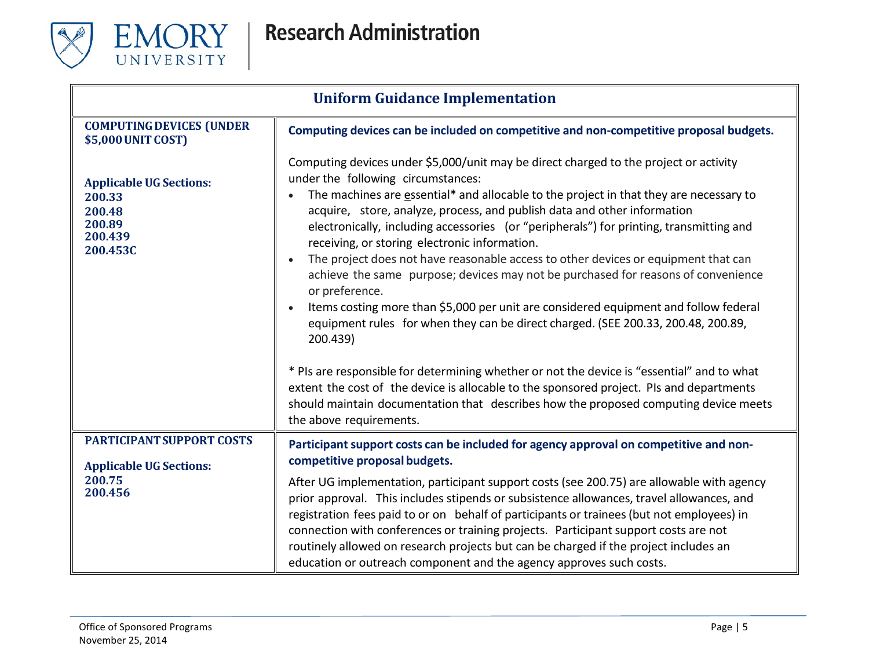

| <b>Uniform Guidance Implementation</b>                                                  |                                                                                                                                                                                                                                                                                                                                                                                                                                                                                                                                                                                                                                                                                                                                                                                                                                                                                                                                                                                                                                            |
|-----------------------------------------------------------------------------------------|--------------------------------------------------------------------------------------------------------------------------------------------------------------------------------------------------------------------------------------------------------------------------------------------------------------------------------------------------------------------------------------------------------------------------------------------------------------------------------------------------------------------------------------------------------------------------------------------------------------------------------------------------------------------------------------------------------------------------------------------------------------------------------------------------------------------------------------------------------------------------------------------------------------------------------------------------------------------------------------------------------------------------------------------|
| <b>COMPUTING DEVICES (UNDER</b><br>\$5,000 UNIT COST)                                   | Computing devices can be included on competitive and non-competitive proposal budgets.                                                                                                                                                                                                                                                                                                                                                                                                                                                                                                                                                                                                                                                                                                                                                                                                                                                                                                                                                     |
| <b>Applicable UG Sections:</b><br>200.33<br>200.48<br>200.89<br>200.439<br>200.453C     | Computing devices under \$5,000/unit may be direct charged to the project or activity<br>under the following circumstances:<br>The machines are essential* and allocable to the project in that they are necessary to<br>acquire, store, analyze, process, and publish data and other information<br>electronically, including accessories (or "peripherals") for printing, transmitting and<br>receiving, or storing electronic information.<br>The project does not have reasonable access to other devices or equipment that can<br>$\bullet$<br>achieve the same purpose; devices may not be purchased for reasons of convenience<br>or preference.<br>Items costing more than \$5,000 per unit are considered equipment and follow federal<br>equipment rules for when they can be direct charged. (SEE 200.33, 200.48, 200.89,<br>200.439)<br>* PIs are responsible for determining whether or not the device is "essential" and to what<br>extent the cost of the device is allocable to the sponsored project. PIs and departments |
|                                                                                         | should maintain documentation that describes how the proposed computing device meets<br>the above requirements.                                                                                                                                                                                                                                                                                                                                                                                                                                                                                                                                                                                                                                                                                                                                                                                                                                                                                                                            |
| <b>PARTICIPANT SUPPORT COSTS</b><br><b>Applicable UG Sections:</b><br>200.75<br>200.456 | Participant support costs can be included for agency approval on competitive and non-<br>competitive proposal budgets.                                                                                                                                                                                                                                                                                                                                                                                                                                                                                                                                                                                                                                                                                                                                                                                                                                                                                                                     |
|                                                                                         | After UG implementation, participant support costs (see 200.75) are allowable with agency<br>prior approval. This includes stipends or subsistence allowances, travel allowances, and<br>registration fees paid to or on behalf of participants or trainees (but not employees) in<br>connection with conferences or training projects. Participant support costs are not<br>routinely allowed on research projects but can be charged if the project includes an<br>education or outreach component and the agency approves such costs.                                                                                                                                                                                                                                                                                                                                                                                                                                                                                                   |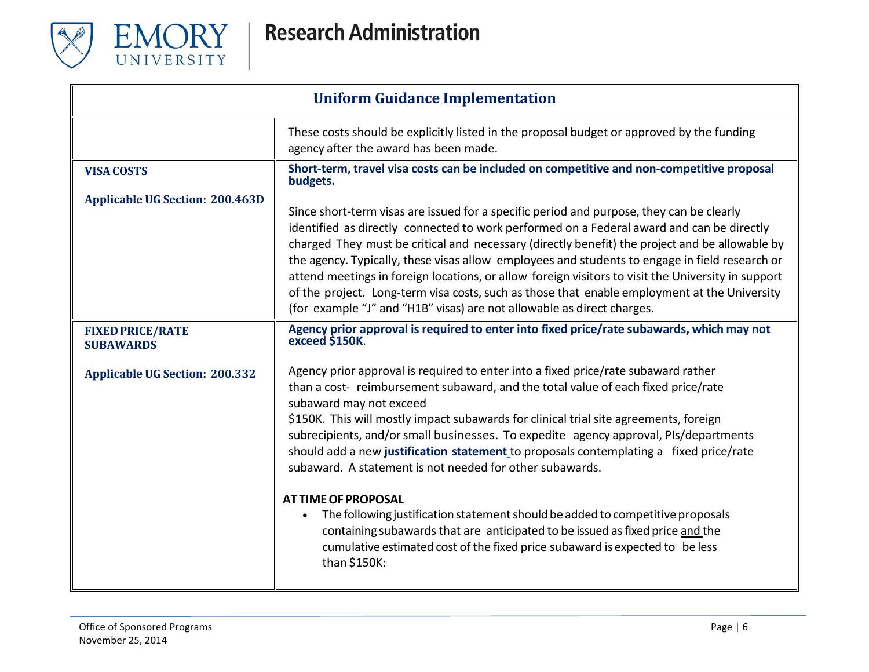

| <b>Uniform Guidance Implementation</b>      |                                                                                                                                                                                                                                                                                                                                                                                                                                                                                                                                                                                                                                                                                                                                                                                                                                                         |
|---------------------------------------------|---------------------------------------------------------------------------------------------------------------------------------------------------------------------------------------------------------------------------------------------------------------------------------------------------------------------------------------------------------------------------------------------------------------------------------------------------------------------------------------------------------------------------------------------------------------------------------------------------------------------------------------------------------------------------------------------------------------------------------------------------------------------------------------------------------------------------------------------------------|
|                                             | These costs should be explicitly listed in the proposal budget or approved by the funding<br>agency after the award has been made.                                                                                                                                                                                                                                                                                                                                                                                                                                                                                                                                                                                                                                                                                                                      |
| <b>VISA COSTS</b>                           | Short-term, travel visa costs can be included on competitive and non-competitive proposal<br>budgets.                                                                                                                                                                                                                                                                                                                                                                                                                                                                                                                                                                                                                                                                                                                                                   |
| <b>Applicable UG Section: 200.463D</b>      | Since short-term visas are issued for a specific period and purpose, they can be clearly<br>identified as directly connected to work performed on a Federal award and can be directly<br>charged They must be critical and necessary (directly benefit) the project and be allowable by<br>the agency. Typically, these visas allow employees and students to engage in field research or<br>attend meetings in foreign locations, or allow foreign visitors to visit the University in support<br>of the project. Long-term visa costs, such as those that enable employment at the University<br>(for example "J" and "H1B" visas) are not allowable as direct charges.                                                                                                                                                                               |
| <b>FIXED PRICE/RATE</b><br><b>SUBAWARDS</b> | Agency prior approval is required to enter into fixed price/rate subawards, which may not<br>exceed \$150K.                                                                                                                                                                                                                                                                                                                                                                                                                                                                                                                                                                                                                                                                                                                                             |
| <b>Applicable UG Section: 200.332</b>       | Agency prior approval is required to enter into a fixed price/rate subaward rather<br>than a cost- reimbursement subaward, and the total value of each fixed price/rate<br>subaward may not exceed<br>\$150K. This will mostly impact subawards for clinical trial site agreements, foreign<br>subrecipients, and/or small businesses. To expedite agency approval, PIs/departments<br>should add a new justification statement to proposals contemplating a fixed price/rate<br>subaward. A statement is not needed for other subawards.<br><b>AT TIME OF PROPOSAL</b><br>The following justification statement should be added to competitive proposals<br>$\bullet$<br>containing subawards that are anticipated to be issued as fixed price and the<br>cumulative estimated cost of the fixed price subaward is expected to be less<br>than \$150K: |